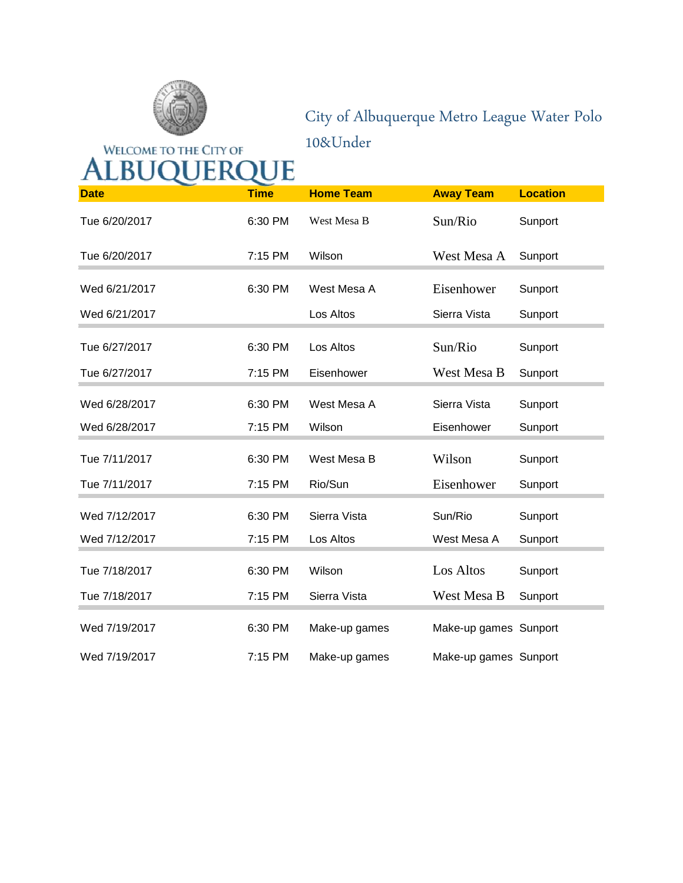

City of Albuquerque Metro League Water Polo 10&Under

## WELCOME TO THE CITY OF **ALBUQUERQUE**

| <b>Date</b>   | <b>Time</b> | <b>Home Team</b> | <b>Away Team</b>      | <b>Location</b> |
|---------------|-------------|------------------|-----------------------|-----------------|
| Tue 6/20/2017 | 6:30 PM     | West Mesa B      | Sun/Rio               | Sunport         |
| Tue 6/20/2017 | 7:15 PM     | Wilson           | West Mesa A           | Sunport         |
| Wed 6/21/2017 | 6:30 PM     | West Mesa A      | Eisenhower            | Sunport         |
| Wed 6/21/2017 |             | Los Altos        | Sierra Vista          | Sunport         |
| Tue 6/27/2017 | 6:30 PM     | Los Altos        | Sun/Rio               | Sunport         |
| Tue 6/27/2017 | 7:15 PM     | Eisenhower       | West Mesa B           | Sunport         |
| Wed 6/28/2017 | 6:30 PM     | West Mesa A      | Sierra Vista          | Sunport         |
| Wed 6/28/2017 | 7:15 PM     | Wilson           | Eisenhower            | Sunport         |
| Tue 7/11/2017 | 6:30 PM     | West Mesa B      | Wilson                | Sunport         |
| Tue 7/11/2017 | 7:15 PM     | Rio/Sun          | Eisenhower            | Sunport         |
| Wed 7/12/2017 | 6:30 PM     | Sierra Vista     | Sun/Rio               | Sunport         |
| Wed 7/12/2017 | 7:15 PM     | Los Altos        | West Mesa A           | Sunport         |
| Tue 7/18/2017 | 6:30 PM     | Wilson           | Los Altos             | Sunport         |
| Tue 7/18/2017 | 7:15 PM     | Sierra Vista     | West Mesa B           | Sunport         |
| Wed 7/19/2017 | 6:30 PM     | Make-up games    | Make-up games Sunport |                 |
| Wed 7/19/2017 | 7:15 PM     | Make-up games    | Make-up games Sunport |                 |